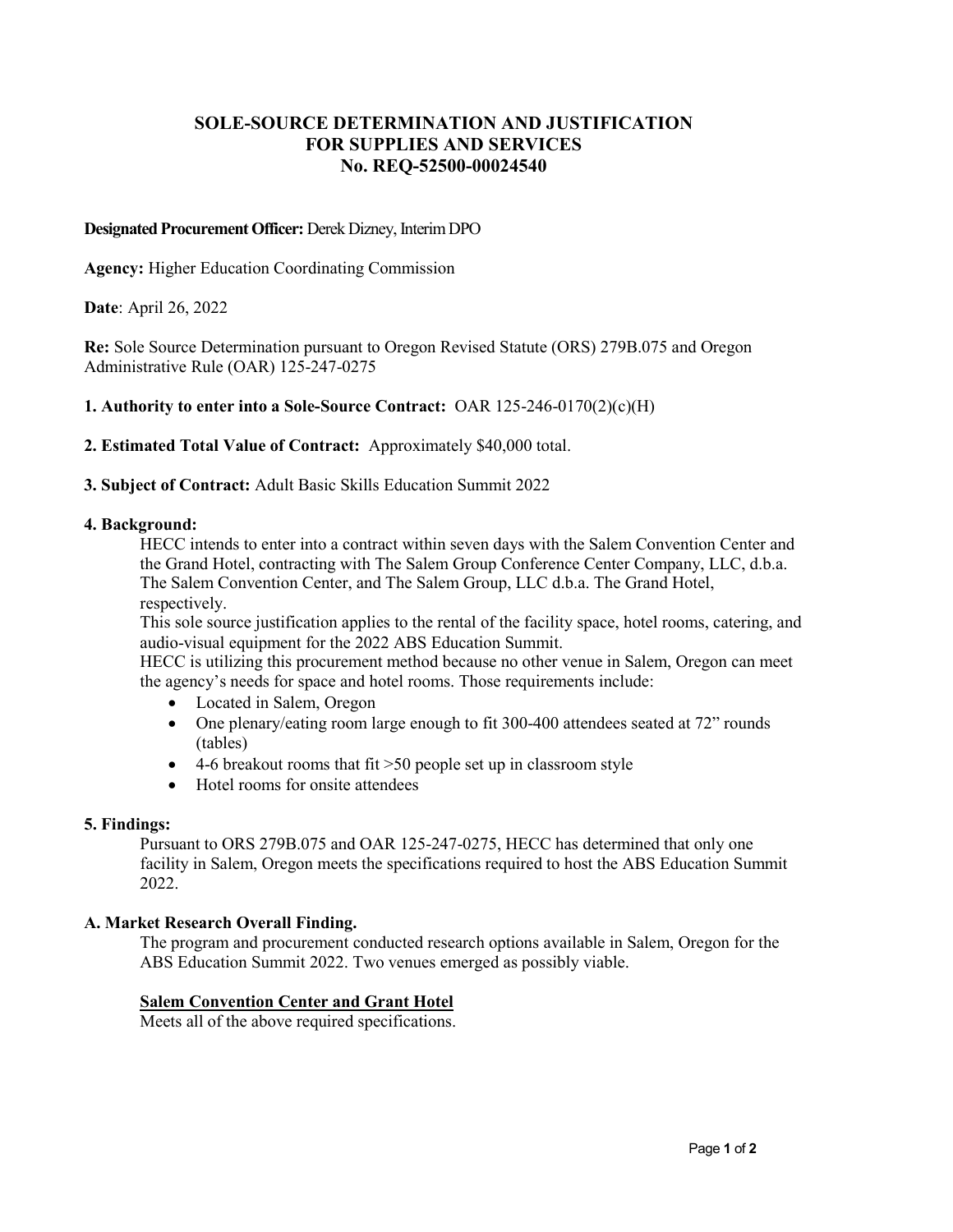# **SOLE-SOURCE DETERMINATION AND JUSTIFICATION FOR SUPPLIES AND SERVICES No. REQ-52500-00024540**

### **Designated Procurement Officer: Derek Dizney, Interim DPO**

**Agency:** Higher Education Coordinating Commission

**Date**: April 26, 2022

**Re:** Sole Source Determination pursuant to Oregon Revised Statute (ORS) 279B.075 and Oregon Administrative Rule (OAR) 125-247-0275

### **1. Authority to enter into a Sole-Source Contract:** OAR 125-246-0170(2)(c)(H)

**2. Estimated Total Value of Contract:** Approximately \$40,000 total.

**3. Subject of Contract:** Adult Basic Skills Education Summit 2022

#### **4. Background:**

HECC intends to enter into a contract within seven days with the Salem Convention Center and the Grand Hotel, contracting with The Salem Group Conference Center Company, LLC, d.b.a. The Salem Convention Center, and The Salem Group, LLC d.b.a. The Grand Hotel, respectively.

This sole source justification applies to the rental of the facility space, hotel rooms, catering, and audio-visual equipment for the 2022 ABS Education Summit.

HECC is utilizing this procurement method because no other venue in Salem, Oregon can meet the agency's needs for space and hotel rooms. Those requirements include:

- Located in Salem, Oregon
- One plenary/eating room large enough to fit 300-400 attendees seated at 72" rounds (tables)
- 4-6 breakout rooms that fit >50 people set up in classroom style
- Hotel rooms for onsite attendees

#### **5. Findings:**

Pursuant to ORS 279B.075 and OAR 125-247-0275, HECC has determined that only one facility in Salem, Oregon meets the specifications required to host the ABS Education Summit 2022.

#### **A. Market Research Overall Finding.**

The program and procurement conducted research options available in Salem, Oregon for the ABS Education Summit 2022. Two venues emerged as possibly viable.

### **Salem Convention Center and Grant Hotel**

Meets all of the above required specifications.